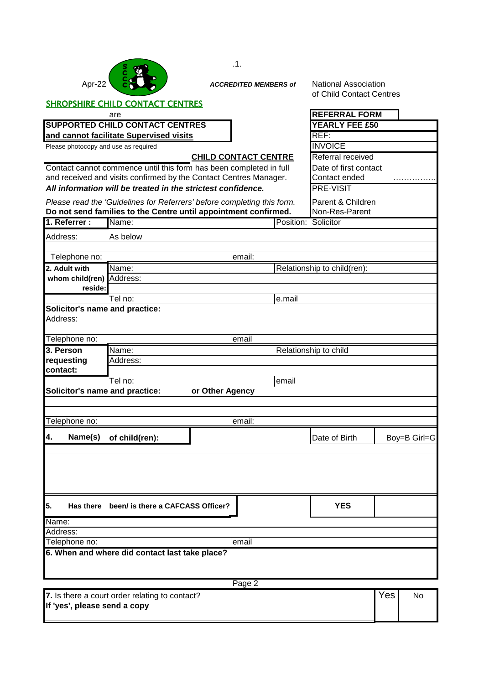|                                                                                                                                            |                                                |  | .1.                          |                                                         |     |              |  |  |
|--------------------------------------------------------------------------------------------------------------------------------------------|------------------------------------------------|--|------------------------------|---------------------------------------------------------|-----|--------------|--|--|
| Apr-22                                                                                                                                     |                                                |  | <b>ACCREDITED MEMBERS of</b> | <b>National Association</b><br>of Child Contact Centres |     |              |  |  |
| <b>SHROPSHIRE CHILD CONTACT CENTRES</b>                                                                                                    |                                                |  |                              |                                                         |     |              |  |  |
|                                                                                                                                            | <b>REFERRAL FORM</b>                           |  |                              |                                                         |     |              |  |  |
| <b>SUPPORTED CHILD CONTACT CENTRES</b>                                                                                                     | <b>YEARLY FEE £50</b>                          |  |                              |                                                         |     |              |  |  |
|                                                                                                                                            | and cannot facilitate Supervised visits        |  |                              | REF:                                                    |     |              |  |  |
| Please photocopy and use as required                                                                                                       |                                                |  | <b>CHILD CONTACT CENTRE</b>  | <b>INVOICE</b>                                          |     |              |  |  |
|                                                                                                                                            | Referral received                              |  |                              |                                                         |     |              |  |  |
| Contact cannot commence until this form has been completed in full                                                                         | Date of first contact                          |  |                              |                                                         |     |              |  |  |
| and received and visits confirmed by the Contact Centres Manager.                                                                          | Contact ended                                  |  |                              |                                                         |     |              |  |  |
| All information will be treated in the strictest confidence.                                                                               |                                                |  |                              | <b>PRE-VISIT</b>                                        |     |              |  |  |
| Please read the 'Guidelines for Referrers' before completing this form.<br>Do not send families to the Centre until appointment confirmed. | Parent & Children<br>Non-Res-Parent            |  |                              |                                                         |     |              |  |  |
| 1. Referrer:                                                                                                                               | Name:                                          |  | Position: Solicitor          |                                                         |     |              |  |  |
| Address:                                                                                                                                   | As below                                       |  |                              |                                                         |     |              |  |  |
|                                                                                                                                            |                                                |  |                              |                                                         |     |              |  |  |
| Telephone no:                                                                                                                              |                                                |  | email:                       |                                                         |     |              |  |  |
| 2. Adult with                                                                                                                              | Relationship to child(ren):<br>Name:           |  |                              |                                                         |     |              |  |  |
| whom child(ren)                                                                                                                            | Address:                                       |  |                              |                                                         |     |              |  |  |
| reside:                                                                                                                                    |                                                |  |                              |                                                         |     |              |  |  |
|                                                                                                                                            | Tel no:                                        |  | e.mail                       |                                                         |     |              |  |  |
| Solicitor's name and practice:                                                                                                             |                                                |  |                              |                                                         |     |              |  |  |
| Address:                                                                                                                                   |                                                |  |                              |                                                         |     |              |  |  |
|                                                                                                                                            |                                                |  |                              |                                                         |     |              |  |  |
| Telephone no:                                                                                                                              |                                                |  | email                        |                                                         |     |              |  |  |
| 3. Person<br>Name:<br>Relationship to child<br>requesting<br>Address:                                                                      |                                                |  |                              |                                                         |     |              |  |  |
|                                                                                                                                            |                                                |  |                              |                                                         |     |              |  |  |
| contact:                                                                                                                                   |                                                |  |                              |                                                         |     |              |  |  |
|                                                                                                                                            | Tel no:                                        |  | email                        |                                                         |     |              |  |  |
| Solicitor's name and practice:<br>or Other Agency                                                                                          |                                                |  |                              |                                                         |     |              |  |  |
|                                                                                                                                            |                                                |  |                              |                                                         |     |              |  |  |
|                                                                                                                                            |                                                |  |                              |                                                         |     |              |  |  |
| Telephone no:                                                                                                                              |                                                |  | email:                       |                                                         |     |              |  |  |
| Name(s)<br>4.                                                                                                                              | of child(ren):                                 |  |                              | Date of Birth                                           |     | Boy=B Girl=G |  |  |
|                                                                                                                                            |                                                |  |                              |                                                         |     |              |  |  |
|                                                                                                                                            |                                                |  |                              |                                                         |     |              |  |  |
|                                                                                                                                            |                                                |  |                              |                                                         |     |              |  |  |
|                                                                                                                                            |                                                |  |                              |                                                         |     |              |  |  |
|                                                                                                                                            |                                                |  |                              |                                                         |     |              |  |  |
| 5.                                                                                                                                         | Has there been/ is there a CAFCASS Officer?    |  |                              | <b>YES</b>                                              |     |              |  |  |
| Name:                                                                                                                                      |                                                |  |                              |                                                         |     |              |  |  |
| Address:                                                                                                                                   |                                                |  |                              |                                                         |     |              |  |  |
| Telephone no:<br>email                                                                                                                     |                                                |  |                              |                                                         |     |              |  |  |
| 6. When and where did contact last take place?                                                                                             |                                                |  |                              |                                                         |     |              |  |  |
|                                                                                                                                            |                                                |  |                              |                                                         |     |              |  |  |
|                                                                                                                                            |                                                |  |                              |                                                         |     |              |  |  |
|                                                                                                                                            |                                                |  | Page 2                       |                                                         |     |              |  |  |
| If 'yes', please send a copy                                                                                                               | 7. Is there a court order relating to contact? |  |                              |                                                         | Yes | No           |  |  |
|                                                                                                                                            |                                                |  |                              |                                                         |     |              |  |  |